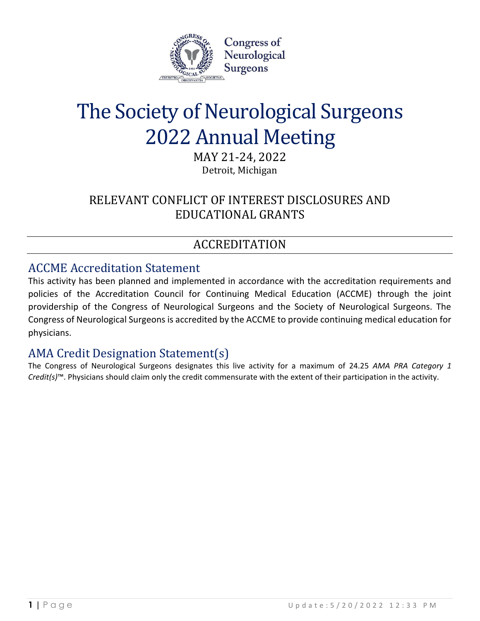

# The Society of Neurological Surgeons 2022 Annual Meeting

MAY 21-24, 2022 Detroit, Michigan

# RELEVANT CONFLICT OF INTEREST DISCLOSURES AND EDUCATIONAL GRANTS

# ACCREDITATION

## ACCME Accreditation Statement

This activity has been planned and implemented in accordance with the accreditation requirements and policies of the Accreditation Council for Continuing Medical Education (ACCME) through the joint providership of the Congress of Neurological Surgeons and the Society of Neurological Surgeons. The Congress of Neurological Surgeons is accredited by the ACCME to provide continuing medical education for physicians.

## AMA Credit Designation Statement(s)

The Congress of Neurological Surgeons designates this live activity for a maximum of 24.25 *AMA PRA Category 1 Credit(s)*™. Physicians should claim only the credit commensurate with the extent of their participation in the activity.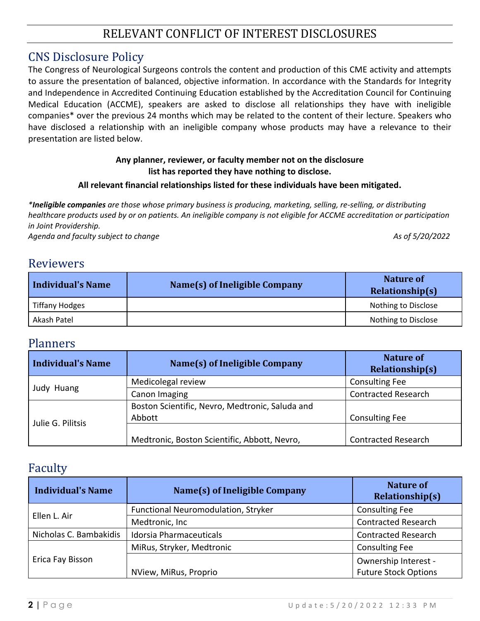## RELEVANT CONFLICT OF INTEREST DISCLOSURES

## CNS Disclosure Policy

The Congress of Neurological Surgeons controls the content and production of this CME activity and attempts to assure the presentation of balanced, objective information. In accordance with the Standards for Integrity and Independence in Accredited Continuing Education established by the Accreditation Council for Continuing Medical Education (ACCME), speakers are asked to disclose all relationships they have with ineligible companies\* over the previous 24 months which may be related to the content of their lecture. Speakers who have disclosed a relationship with an ineligible company whose products may have a relevance to their presentation are listed below.

#### **Any planner, reviewer, or faculty member not on the disclosure list has reported they have nothing to disclose.**

#### **All relevant financial relationships listed for these individuals have been mitigated.**

*\*Ineligible companies are those whose primary business is producing, marketing, selling, re-selling, or distributing healthcare products used by or on patients. An ineligible company is not eligible for ACCME accreditation or participation in Joint Providership.*

Agenda and faculty subject to change As of 5/20/2022 **As of 5/20/2022** 

## Reviewers

| <b>Individual's Name</b> | Name(s) of Ineligible Company | Nature of<br>Relationship(s) |
|--------------------------|-------------------------------|------------------------------|
| <b>Tiffany Hodges</b>    |                               | Nothing to Disclose          |
| Akash Patel              |                               | Nothing to Disclose          |

## Planners

| Individual's Name | Name(s) of Ineligible Company                             | Nature of<br>Relationship(s) |
|-------------------|-----------------------------------------------------------|------------------------------|
| Judy Huang        | Medicolegal review                                        | <b>Consulting Fee</b>        |
|                   | Canon Imaging                                             | <b>Contracted Research</b>   |
| Julie G. Pilitsis | Boston Scientific, Nevro, Medtronic, Saluda and<br>Abbott | <b>Consulting Fee</b>        |
|                   | Medtronic, Boston Scientific, Abbott, Nevro,              | <b>Contracted Research</b>   |

## Faculty

| <b>Individual's Name</b> | Name(s) of Ineligible Company              | <b>Nature of</b><br><b>Relationship(s)</b> |
|--------------------------|--------------------------------------------|--------------------------------------------|
| Ellen L. Air             | <b>Functional Neuromodulation, Stryker</b> | <b>Consulting Fee</b>                      |
|                          | Medtronic, Inc                             | <b>Contracted Research</b>                 |
| Nicholas C. Bambakidis   | <b>Idorsia Pharmaceuticals</b>             | <b>Contracted Research</b>                 |
| Erica Fay Bisson         | MiRus, Stryker, Medtronic                  | <b>Consulting Fee</b>                      |
|                          |                                            | Ownership Interest -                       |
|                          | NView, MiRus, Proprio                      | <b>Future Stock Options</b>                |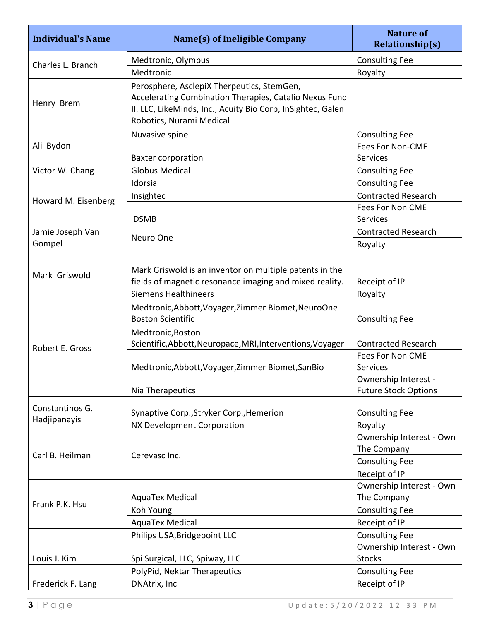| <b>Individual's Name</b>        | <b>Name(s) of Ineligible Company</b>                                                                                                                                                            | <b>Nature of</b><br><b>Relationship(s)</b>          |
|---------------------------------|-------------------------------------------------------------------------------------------------------------------------------------------------------------------------------------------------|-----------------------------------------------------|
|                                 | Medtronic, Olympus                                                                                                                                                                              | <b>Consulting Fee</b>                               |
| Charles L. Branch               | Medtronic                                                                                                                                                                                       | Royalty                                             |
| Henry Brem                      | Perosphere, AsclepiX Therpeutics, StemGen,<br>Accelerating Combination Therapies, Catalio Nexus Fund<br>II. LLC, LikeMinds, Inc., Acuity Bio Corp, InSightec, Galen<br>Robotics, Nurami Medical |                                                     |
|                                 | Nuvasive spine                                                                                                                                                                                  | <b>Consulting Fee</b>                               |
| Ali Bydon                       | <b>Baxter corporation</b>                                                                                                                                                                       | <b>Fees For Non-CME</b><br><b>Services</b>          |
| Victor W. Chang                 | <b>Globus Medical</b>                                                                                                                                                                           | <b>Consulting Fee</b>                               |
|                                 | Idorsia                                                                                                                                                                                         | <b>Consulting Fee</b>                               |
| Howard M. Eisenberg             | Insightec                                                                                                                                                                                       | <b>Contracted Research</b>                          |
|                                 |                                                                                                                                                                                                 | Fees For Non CME                                    |
|                                 | <b>DSMB</b>                                                                                                                                                                                     | <b>Services</b>                                     |
| Jamie Joseph Van                | Neuro One                                                                                                                                                                                       | <b>Contracted Research</b>                          |
| Gompel                          |                                                                                                                                                                                                 | Royalty                                             |
| Mark Griswold                   | Mark Griswold is an inventor on multiple patents in the<br>fields of magnetic resonance imaging and mixed reality.<br><b>Siemens Healthineers</b>                                               | Receipt of IP<br>Royalty                            |
|                                 | Medtronic, Abbott, Voyager, Zimmer Biomet, NeuroOne<br><b>Boston Scientific</b>                                                                                                                 | <b>Consulting Fee</b>                               |
| Robert E. Gross                 | Medtronic, Boston<br>Scientific, Abbott, Neuropace, MRI, Interventions, Voyager                                                                                                                 | <b>Contracted Research</b>                          |
|                                 | Medtronic, Abbott, Voyager, Zimmer Biomet, San Bio                                                                                                                                              | <b>Fees For Non CME</b><br><b>Services</b>          |
|                                 | Nia Therapeutics                                                                                                                                                                                | Ownership Interest -<br><b>Future Stock Options</b> |
| Constantinos G.<br>Hadjipanayis | Synaptive Corp., Stryker Corp., Hemerion                                                                                                                                                        | <b>Consulting Fee</b>                               |
|                                 | NX Development Corporation                                                                                                                                                                      | Royalty                                             |
| Carl B. Heilman                 | Cerevasc Inc.                                                                                                                                                                                   | Ownership Interest - Own<br>The Company             |
|                                 |                                                                                                                                                                                                 | <b>Consulting Fee</b>                               |
|                                 |                                                                                                                                                                                                 | Receipt of IP                                       |
|                                 |                                                                                                                                                                                                 | Ownership Interest - Own                            |
| Frank P.K. Hsu                  | AquaTex Medical                                                                                                                                                                                 | The Company                                         |
|                                 | Koh Young                                                                                                                                                                                       | <b>Consulting Fee</b>                               |
|                                 | AquaTex Medical                                                                                                                                                                                 | Receipt of IP                                       |
|                                 | Philips USA, Bridgepoint LLC                                                                                                                                                                    | <b>Consulting Fee</b>                               |
| Louis J. Kim                    | Spi Surgical, LLC, Spiway, LLC                                                                                                                                                                  | Ownership Interest - Own<br><b>Stocks</b>           |
|                                 | PolyPid, Nektar Therapeutics                                                                                                                                                                    | <b>Consulting Fee</b>                               |
| Frederick F. Lang               | DNAtrix, Inc                                                                                                                                                                                    | Receipt of IP                                       |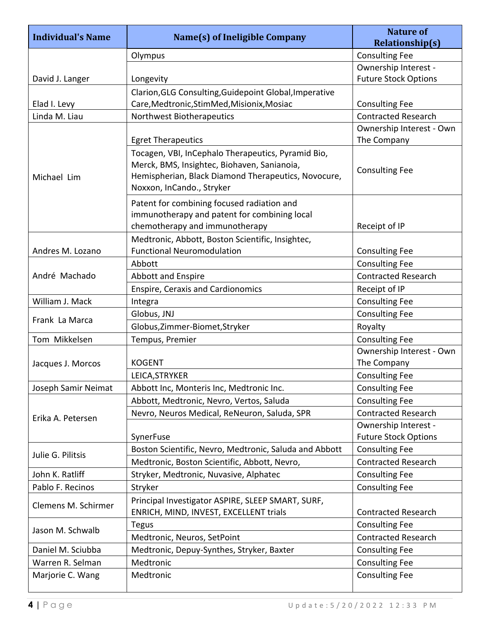| <b>Individual's Name</b> | Name(s) of Ineligible Company                                                                                                                                                         | <b>Nature of</b><br><b>Relationship(s)</b> |
|--------------------------|---------------------------------------------------------------------------------------------------------------------------------------------------------------------------------------|--------------------------------------------|
|                          | Olympus                                                                                                                                                                               | <b>Consulting Fee</b>                      |
|                          |                                                                                                                                                                                       | Ownership Interest -                       |
| David J. Langer          | Longevity                                                                                                                                                                             | <b>Future Stock Options</b>                |
|                          | Clarion, GLG Consulting, Guidepoint Global, Imperative                                                                                                                                |                                            |
| Elad I. Levy             | Care, Medtronic, StimMed, Misionix, Mosiac                                                                                                                                            | <b>Consulting Fee</b>                      |
| Linda M. Liau            | Northwest Biotherapeutics                                                                                                                                                             | <b>Contracted Research</b>                 |
|                          | <b>Egret Therapeutics</b>                                                                                                                                                             | Ownership Interest - Own<br>The Company    |
| Michael Lim              | Tocagen, VBI, InCephalo Therapeutics, Pyramid Bio,<br>Merck, BMS, Insightec, Biohaven, Sanianoia,<br>Hemispherian, Black Diamond Therapeutics, Novocure,<br>Noxxon, InCando., Stryker | <b>Consulting Fee</b>                      |
|                          | Patent for combining focused radiation and<br>immunotherapy and patent for combining local<br>chemotherapy and immunotherapy                                                          | Receipt of IP                              |
|                          | Medtronic, Abbott, Boston Scientific, Insightec,                                                                                                                                      |                                            |
| Andres M. Lozano         | <b>Functional Neuromodulation</b>                                                                                                                                                     | <b>Consulting Fee</b>                      |
|                          | Abbott                                                                                                                                                                                | <b>Consulting Fee</b>                      |
| André Machado            | <b>Abbott and Enspire</b>                                                                                                                                                             | <b>Contracted Research</b>                 |
|                          | <b>Enspire, Ceraxis and Cardionomics</b>                                                                                                                                              | Receipt of IP                              |
| William J. Mack          | Integra                                                                                                                                                                               | <b>Consulting Fee</b>                      |
| Frank La Marca           | Globus, JNJ                                                                                                                                                                           | <b>Consulting Fee</b>                      |
|                          | Globus, Zimmer-Biomet, Stryker                                                                                                                                                        | Royalty                                    |
| Tom Mikkelsen            | Tempus, Premier                                                                                                                                                                       | <b>Consulting Fee</b>                      |
|                          |                                                                                                                                                                                       | Ownership Interest - Own                   |
| Jacques J. Morcos        | <b>KOGENT</b>                                                                                                                                                                         | The Company                                |
|                          | LEICA, STRYKER                                                                                                                                                                        | <b>Consulting Fee</b>                      |
| Joseph Samir Neimat      | Abbott Inc, Monteris Inc, Medtronic Inc.                                                                                                                                              | <b>Consulting Fee</b>                      |
|                          | Abbott, Medtronic, Nevro, Vertos, Saluda                                                                                                                                              | <b>Consulting Fee</b>                      |
| Erika A. Petersen        | Nevro, Neuros Medical, ReNeuron, Saluda, SPR                                                                                                                                          | <b>Contracted Research</b>                 |
|                          |                                                                                                                                                                                       | Ownership Interest -                       |
|                          | SynerFuse                                                                                                                                                                             | <b>Future Stock Options</b>                |
| Julie G. Pilitsis        | Boston Scientific, Nevro, Medtronic, Saluda and Abbott                                                                                                                                | <b>Consulting Fee</b>                      |
|                          | Medtronic, Boston Scientific, Abbott, Nevro,                                                                                                                                          | <b>Contracted Research</b>                 |
| John K. Ratliff          | Stryker, Medtronic, Nuvasive, Alphatec                                                                                                                                                | <b>Consulting Fee</b>                      |
| Pablo F. Recinos         | Stryker                                                                                                                                                                               | <b>Consulting Fee</b>                      |
| Clemens M. Schirmer      | Principal Investigator ASPIRE, SLEEP SMART, SURF,<br>ENRICH, MIND, INVEST, EXCELLENT trials                                                                                           | <b>Contracted Research</b>                 |
| Jason M. Schwalb         | <b>Tegus</b>                                                                                                                                                                          | <b>Consulting Fee</b>                      |
|                          | Medtronic, Neuros, SetPoint                                                                                                                                                           | <b>Contracted Research</b>                 |
| Daniel M. Sciubba        | Medtronic, Depuy-Synthes, Stryker, Baxter                                                                                                                                             | <b>Consulting Fee</b>                      |
| Warren R. Selman         | Medtronic                                                                                                                                                                             | <b>Consulting Fee</b>                      |
| Marjorie C. Wang         | Medtronic                                                                                                                                                                             | <b>Consulting Fee</b>                      |